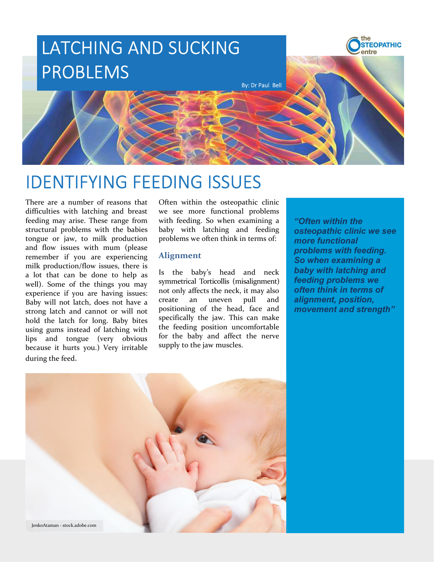

There are a number of reasons that **EXERCISE INTERVING FEEDING ISSUES**<br>
There are a number of reasons that Often within the otten with taching and breast we see more functional problems<br>
terding may arise. These range from with feeding and breast we see mor **Strong latch and the strong latch and cannot or will not allow the strong latch and the strong and the strong late will actually and involvemental problems with the basis of the mean function problems with the basis of th IDENTIFYING FEEDING ISSUES**<br>
There are a number of exams that Offern within the osteophology with latching and breast we see more functional problems difficulties with latching and breast we see more functional problems f **IDENTIFYING FEEDING ISSUES**<br>There are a number of reasons that often within the osteopathic clinic<br>difficulties with latching and breast we see more functional problems with the distance in equal feeding may arise. These IDENTIFYING FEEDING ISSUES<br>There are a number of reasons that often within the osteopathic clinic<br>difficulties with latching and breast we see more functional problems<br>structural problems with the babies baby with laching IDENTIFYING FEEDING ISSUES<br>There are a number of reasons that often within the osteopathic climate<br>difflectuations with latching and breast we see more functional problems<br>deteing may arise. These range from with freeding. **IDENTIFYING FEEDING ISSUES**<br>There are a number of reasons that Often within the osteopathic clinic<br>difficulties with latching and breast we see more functional problems<br>structural problems with etheding the strong of such

Often within the osteopathic clinic

#### Alignment

Specifically the feding Solution and alternative sumply to the jaw muscles.<br>
Specifically the jaw. This can make the make the baby with latching and feeding of the problems we often think in terms of the problems with feed **EXECUTES**<br>
Often within the osteopathic clinic<br>
over see more functional problems<br>
with feeding. So when examining a<br>
baby with latching and feeding osteopathic clinic we see<br>
problems we often think in terms of:<br>
Mignmen For the multiple in the set of the baby and affect the nerves of functional problems with feeding. So when examining a worst set of the multiple baby with latching and feeding of the nerve time in the nervesting and the n **SUNG ISSUES**<br>
Often within the osteopathic clinic<br>
we see more functional problems<br>
baby with latching and feeding<br>
baby with latching and feeding<br>
problems we often think in terms of:<br>
Alignment<br>
Alignment<br>
sub-baby's he

"Often within the<br>osteopathic clinic we see<br>more functional<br>problems with feeding.<br>So when examining a<br>baby with latching and<br>feeding problems we<br>often think in terms of<br>alignment, position,<br>movement and strength" "Often within the<br>osteopathic clinic we see<br>more functional<br>problems with feeding.<br>So when examining a<br>baby with latching and<br>feeding problems we<br>often think in terms of<br>alignment, position,<br>movement and strength" "Often within the<br>osteopathic clinic we see<br>more functional<br>problems with feeding.<br>So when examining a<br>baby with latching and<br>feeding problems we<br>often think in terms of<br>alignment, position,<br>movement and strength" "Often within the<br>osteopathic clinic we see<br>more functional<br>problems with feeding.<br>So when examining a<br>baby with latching and<br>feeding problems we<br>often think in terms of<br>alignment, position,<br>movement and strength"